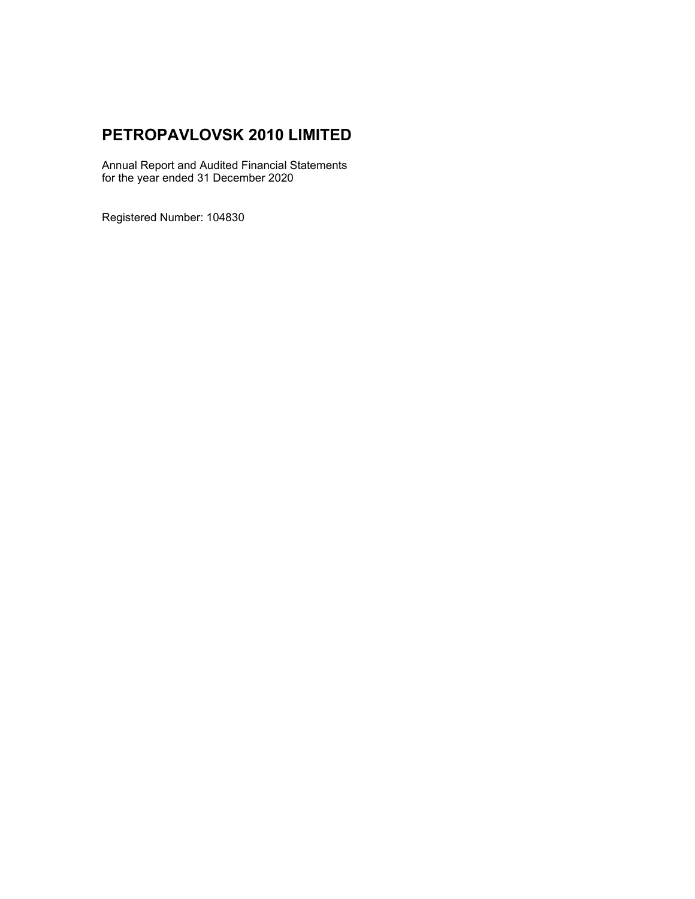# **PETROPAVLOVSK 2010 LIMITED**

Annual Report and Audited Financial Statements for the year ended 31 December 2020

Registered Number: 104830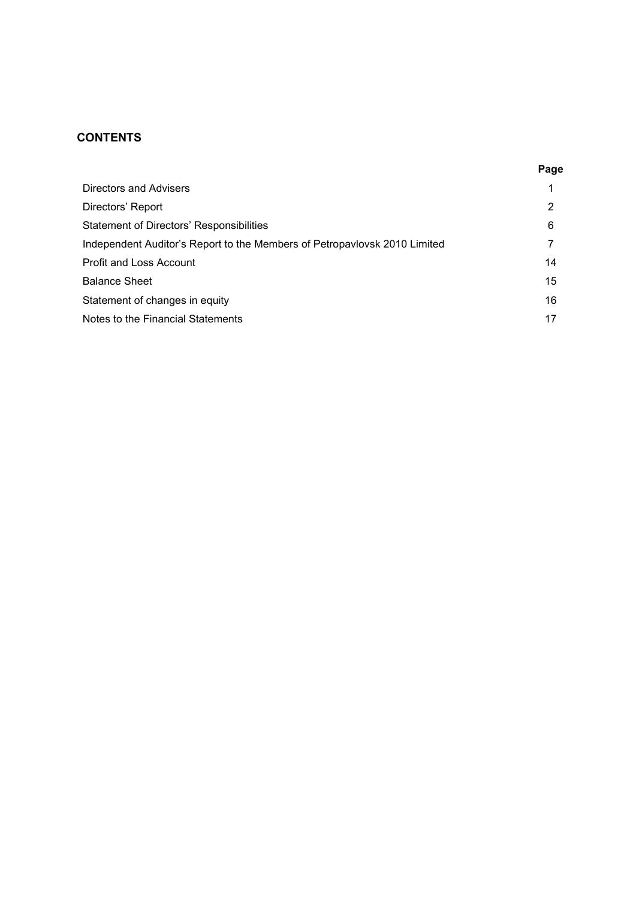# **CONTENTS**

|                                                                           | Page |
|---------------------------------------------------------------------------|------|
| <b>Directors and Advisers</b>                                             |      |
| Directors' Report                                                         | 2    |
| Statement of Directors' Responsibilities                                  | 6    |
| Independent Auditor's Report to the Members of Petropavlovsk 2010 Limited |      |
| Profit and Loss Account                                                   | 14   |
| <b>Balance Sheet</b>                                                      | 15   |
| Statement of changes in equity                                            | 16   |
| Notes to the Financial Statements                                         | 17   |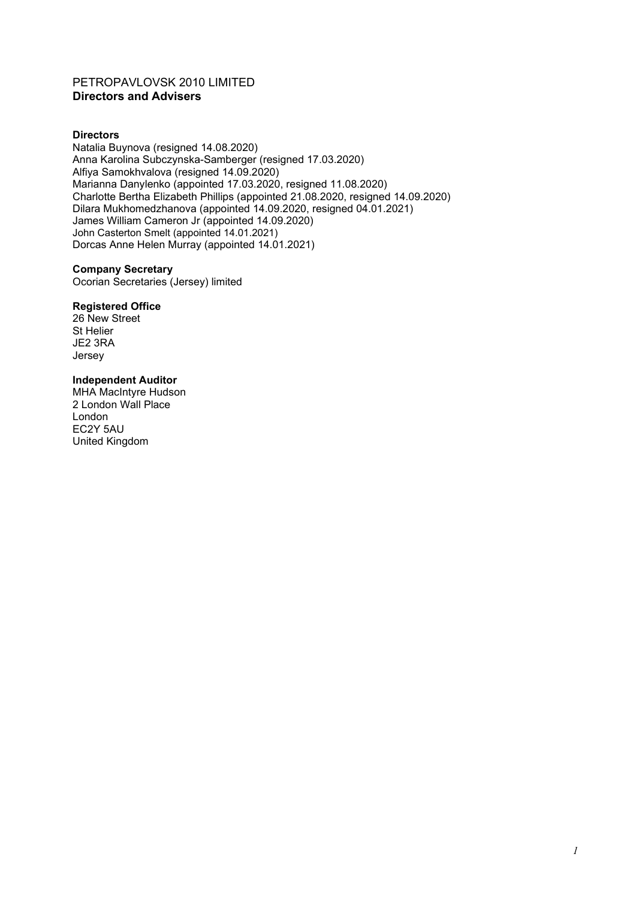# PETROPAVLOVSK 2010 LIMITED **Directors and Advisers**

### **Directors**

Natalia Buynova (resigned 14.08.2020) Anna Karolina Subczynska-Samberger (resigned 17.03.2020) Alfiya Samokhvalova (resigned 14.09.2020) Marianna Danylenko (appointed 17.03.2020, resigned 11.08.2020) Charlotte Bertha Elizabeth Phillips (appointed 21.08.2020, resigned 14.09.2020) Dilara Mukhomedzhanova (appointed 14.09.2020, resigned 04.01.2021) James William Cameron Jr (appointed 14.09.2020) John Casterton Smelt (appointed 14.01.2021) Dorcas Anne Helen Murray (appointed 14.01.2021)

#### **Company Secretary**

Ocorian Secretaries (Jersey) limited

#### **Registered Office**

26 New Street St Helier JE2 3RA Jersey

# **Independent Auditor**

MHA MacIntyre Hudson 2 London Wall Place London EC2Y 5AU United Kingdom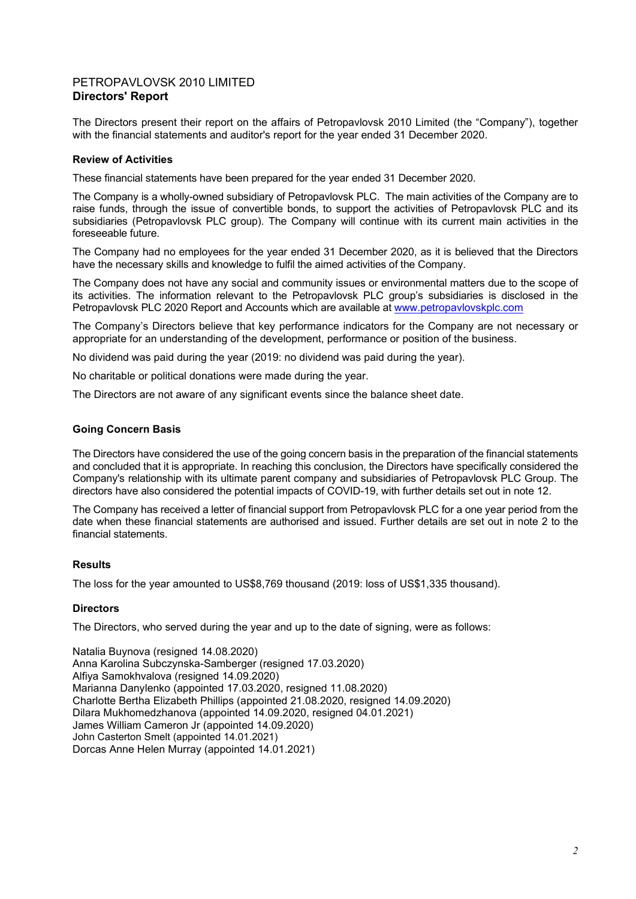The Directors present their report on the affairs of Petropavlovsk 2010 Limited (the "Company"), together with the financial statements and auditor's report for the year ended 31 December 2020.

### **Review of Activities**

These financial statements have been prepared for the year ended 31 December 2020.

The Company is a wholly-owned subsidiary of Petropavlovsk PLC. The main activities of the Company are to raise funds, through the issue of convertible bonds, to support the activities of Petropavlovsk PLC and its subsidiaries (Petropavlovsk PLC group). The Company will continue with its current main activities in the foreseeable future.

The Company had no employees for the year ended 31 December 2020, as it is believed that the Directors have the necessary skills and knowledge to fulfil the aimed activities of the Company.

The Company does not have any social and community issues or environmental matters due to the scope of its activities. The information relevant to the Petropavlovsk PLC group's subsidiaries is disclosed in the Petropavlovsk PLC 2020 Report and Accounts which are available at www.petropavlovskplc.com

The Company's Directors believe that key performance indicators for the Company are not necessary or appropriate for an understanding of the development, performance or position of the business.

No dividend was paid during the year (2019: no dividend was paid during the year).

No charitable or political donations were made during the year.

The Directors are not aware of any significant events since the balance sheet date.

#### **Going Concern Basis**

The Directors have considered the use of the going concern basis in the preparation of the financial statements and concluded that it is appropriate. In reaching this conclusion, the Directors have specifically considered the Company's relationship with its ultimate parent company and subsidiaries of Petropavlovsk PLC Group. The directors have also considered the potential impacts of COVID-19, with further details set out in note 12.

The Company has received a letter of financial support from Petropavlovsk PLC for a one year period from the date when these financial statements are authorised and issued. Further details are set out in note 2 to the financial statements.

### **Results**

The loss for the year amounted to US\$8,769 thousand (2019: loss of US\$1,335 thousand).

#### **Directors**

The Directors, who served during the year and up to the date of signing, were as follows:

Natalia Buynova (resigned 14.08.2020) Anna Karolina Subczynska-Samberger (resigned 17.03.2020) Alfiya Samokhvalova (resigned 14.09.2020) Marianna Danylenko (appointed 17.03.2020, resigned 11.08.2020) Charlotte Bertha Elizabeth Phillips (appointed 21.08.2020, resigned 14.09.2020) Dilara Mukhomedzhanova (appointed 14.09.2020, resigned 04.01.2021) James William Cameron Jr (appointed 14.09.2020) John Casterton Smelt (appointed 14.01.2021) Dorcas Anne Helen Murray (appointed 14.01.2021)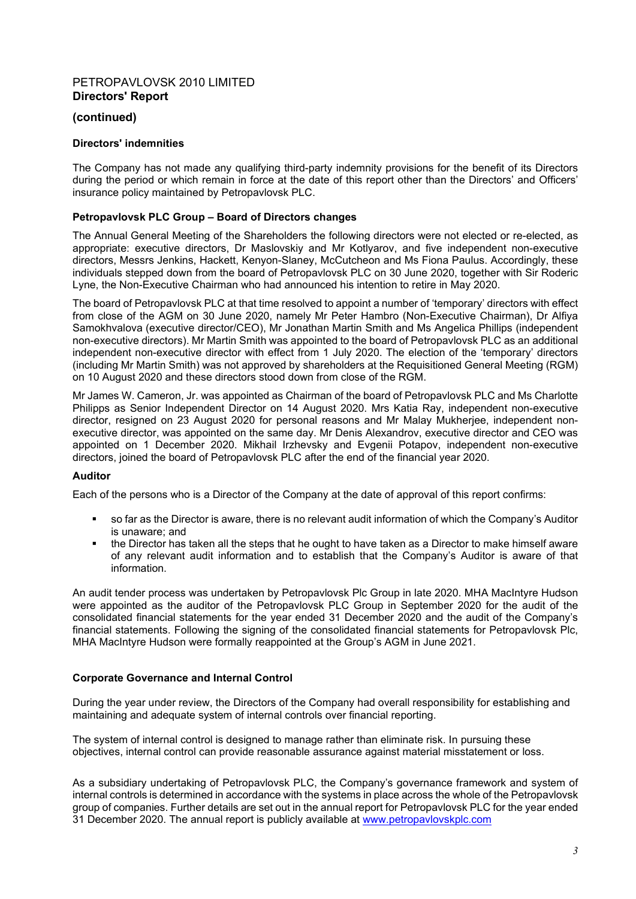## **(continued)**

## **Directors' indemnities**

The Company has not made any qualifying third-party indemnity provisions for the benefit of its Directors during the period or which remain in force at the date of this report other than the Directors' and Officers' insurance policy maintained by Petropavlovsk PLC.

### **Petropavlovsk PLC Group – Board of Directors changes**

The Annual General Meeting of the Shareholders the following directors were not elected or re-elected, as appropriate: executive directors, Dr Maslovskiy and Mr Kotlyarov, and five independent non-executive directors, Messrs Jenkins, Hackett, Kenyon-Slaney, McCutcheon and Ms Fiona Paulus. Accordingly, these individuals stepped down from the board of Petropavlovsk PLC on 30 June 2020, together with Sir Roderic Lyne, the Non-Executive Chairman who had announced his intention to retire in May 2020.

The board of Petropavlovsk PLC at that time resolved to appoint a number of 'temporary' directors with effect from close of the AGM on 30 June 2020, namely Mr Peter Hambro (Non-Executive Chairman), Dr Alfiya Samokhvalova (executive director/CEO), Mr Jonathan Martin Smith and Ms Angelica Phillips (independent non-executive directors). Mr Martin Smith was appointed to the board of Petropavlovsk PLC as an additional independent non-executive director with effect from 1 July 2020. The election of the 'temporary' directors (including Mr Martin Smith) was not approved by shareholders at the Requisitioned General Meeting (RGM) on 10 August 2020 and these directors stood down from close of the RGM.

Mr James W. Cameron, Jr. was appointed as Chairman of the board of Petropavlovsk PLC and Ms Charlotte Philipps as Senior Independent Director on 14 August 2020. Mrs Katia Ray, independent non-executive director, resigned on 23 August 2020 for personal reasons and Mr Malay Mukherjee, independent nonexecutive director, was appointed on the same day. Mr Denis Alexandrov, executive director and CEO was appointed on 1 December 2020. Mikhail Irzhevsky and Evgenii Potapov, independent non-executive directors, joined the board of Petropavlovsk PLC after the end of the financial year 2020.

### **Auditor**

Each of the persons who is a Director of the Company at the date of approval of this report confirms:

- so far as the Director is aware, there is no relevant audit information of which the Company's Auditor is unaware; and
- the Director has taken all the steps that he ought to have taken as a Director to make himself aware of any relevant audit information and to establish that the Company's Auditor is aware of that information.

An audit tender process was undertaken by Petropavlovsk Plc Group in late 2020. MHA MacIntyre Hudson were appointed as the auditor of the Petropavlovsk PLC Group in September 2020 for the audit of the consolidated financial statements for the year ended 31 December 2020 and the audit of the Company's financial statements. Following the signing of the consolidated financial statements for Petropavlovsk Plc, MHA MacIntyre Hudson were formally reappointed at the Group's AGM in June 2021.

### **Corporate Governance and Internal Control**

During the year under review, the Directors of the Company had overall responsibility for establishing and maintaining and adequate system of internal controls over financial reporting.

The system of internal control is designed to manage rather than eliminate risk. In pursuing these objectives, internal control can provide reasonable assurance against material misstatement or loss.

As a subsidiary undertaking of Petropavlovsk PLC, the Company's governance framework and system of internal controls is determined in accordance with the systems in place across the whole of the Petropavlovsk group of companies. Further details are set out in the annual report for Petropavlovsk PLC for the year ended 31 December 2020. The annual report is publicly available at www.petropavlovskplc.com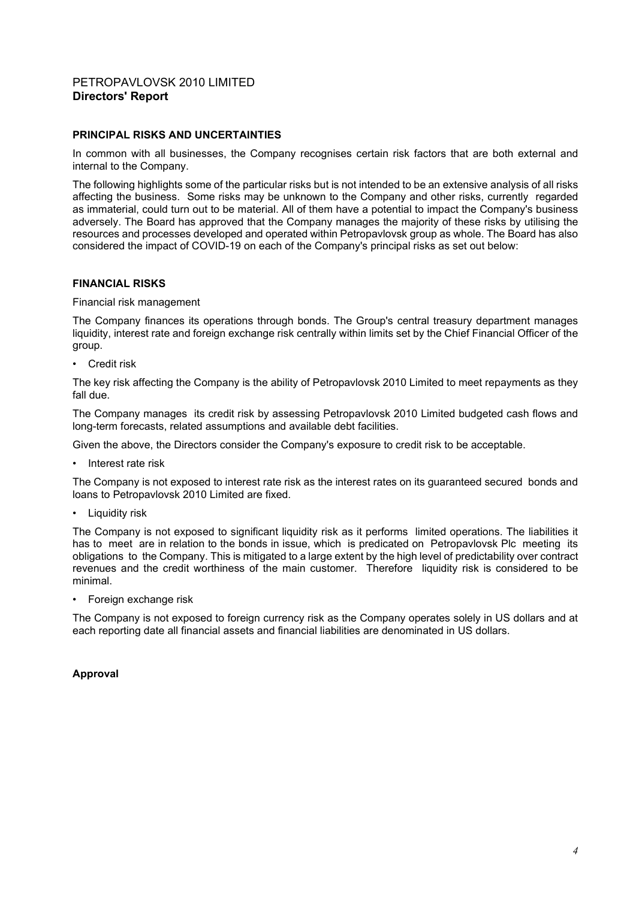### **PRINCIPAL RISKS AND UNCERTAINTIES**

In common with all businesses, the Company recognises certain risk factors that are both external and internal to the Company.

The following highlights some of the particular risks but is not intended to be an extensive analysis of all risks affecting the business. Some risks may be unknown to the Company and other risks, currently regarded as immaterial, could turn out to be material. All of them have a potential to impact the Company's business adversely. The Board has approved that the Company manages the majority of these risks by utilising the resources and processes developed and operated within Petropavlovsk group as whole. The Board has also considered the impact of COVID-19 on each of the Company's principal risks as set out below:

#### **FINANCIAL RISKS**

Financial risk management

The Company finances its operations through bonds. The Group's central treasury department manages liquidity, interest rate and foreign exchange risk centrally within limits set by the Chief Financial Officer of the group.

• Credit risk

The key risk affecting the Company is the ability of Petropavlovsk 2010 Limited to meet repayments as they fall due.

The Company manages its credit risk by assessing Petropavlovsk 2010 Limited budgeted cash flows and long-term forecasts, related assumptions and available debt facilities.

Given the above, the Directors consider the Company's exposure to credit risk to be acceptable.

• Interest rate risk

The Company is not exposed to interest rate risk as the interest rates on its guaranteed secured bonds and loans to Petropavlovsk 2010 Limited are fixed.

Liquidity risk

The Company is not exposed to significant liquidity risk as it performs limited operations. The liabilities it has to meet are in relation to the bonds in issue, which is predicated on Petropavlovsk Plc meeting its obligations to the Company. This is mitigated to a large extent by the high level of predictability over contract revenues and the credit worthiness of the main customer. Therefore liquidity risk is considered to be minimal.

• Foreign exchange risk

The Company is not exposed to foreign currency risk as the Company operates solely in US dollars and at each reporting date all financial assets and financial liabilities are denominated in US dollars.

### **Approval**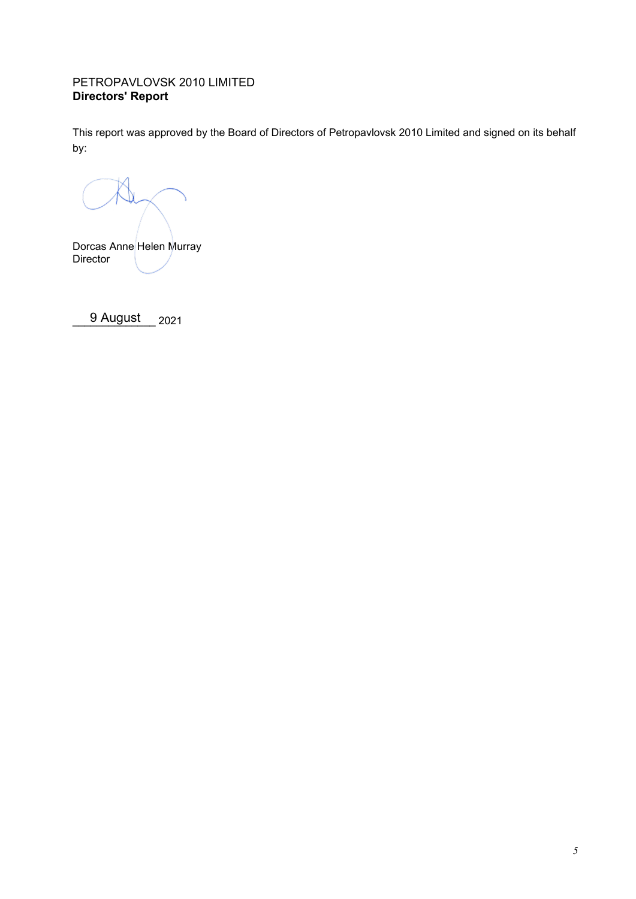This report was approved by the Board of Directors of Petropavlovsk 2010 Limited and signed on its behalf by:

Dorcas Anne Helen Murray Director

9 August 2021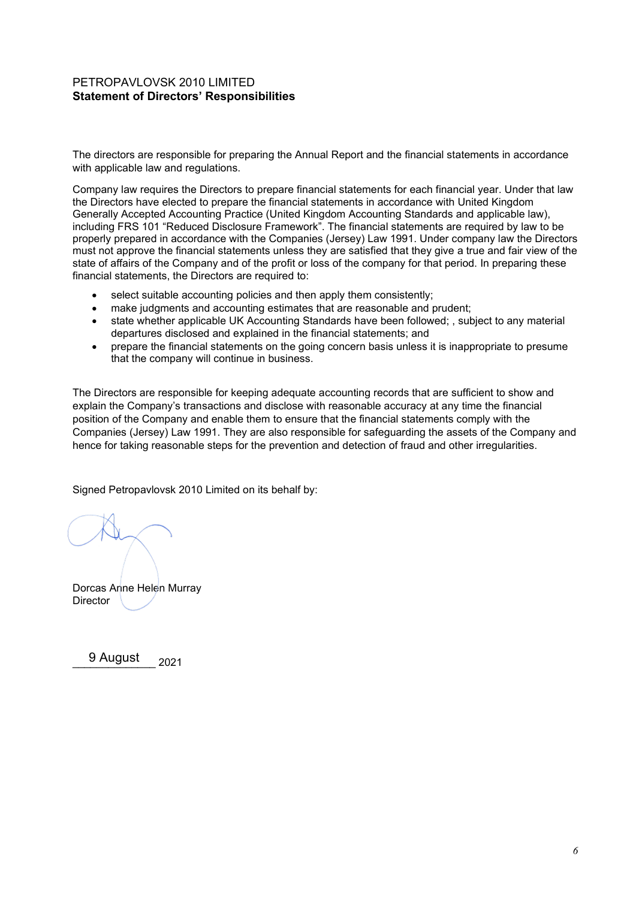# PETROPAVLOVSK 2010 LIMITED **Statement of Directors' Responsibilities**

The directors are responsible for preparing the Annual Report and the financial statements in accordance with applicable law and regulations.

Company law requires the Directors to prepare financial statements for each financial year. Under that law the Directors have elected to prepare the financial statements in accordance with United Kingdom Generally Accepted Accounting Practice (United Kingdom Accounting Standards and applicable law), including FRS 101 "Reduced Disclosure Framework". The financial statements are required by law to be properly prepared in accordance with the Companies (Jersey) Law 1991. Under company law the Directors must not approve the financial statements unless they are satisfied that they give a true and fair view of the state of affairs of the Company and of the profit or loss of the company for that period. In preparing these financial statements, the Directors are required to:

- select suitable accounting policies and then apply them consistently;
- make judgments and accounting estimates that are reasonable and prudent;
- state whether applicable UK Accounting Standards have been followed; , subject to any material departures disclosed and explained in the financial statements; and
- prepare the financial statements on the going concern basis unless it is inappropriate to presume that the company will continue in business.

The Directors are responsible for keeping adequate accounting records that are sufficient to show and explain the Company's transactions and disclose with reasonable accuracy at any time the financial position of the Company and enable them to ensure that the financial statements comply with the Companies (Jersey) Law 1991. They are also responsible for safeguarding the assets of the Company and hence for taking reasonable steps for the prevention and detection of fraud and other irregularities.

Signed Petropavlovsk 2010 Limited on its behalf by:

Dorcas Anne Helen Murray **Director** 

9 August 2021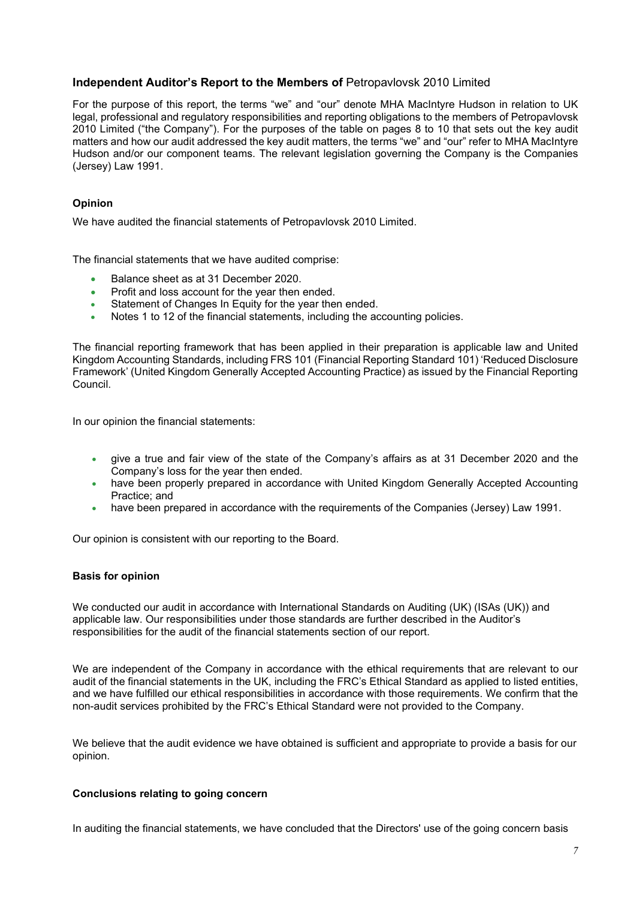For the purpose of this report, the terms "we" and "our" denote MHA MacIntyre Hudson in relation to UK legal, professional and regulatory responsibilities and reporting obligations to the members of Petropavlovsk 2010 Limited ("the Company"). For the purposes of the table on pages 8 to 10 that sets out the key audit matters and how our audit addressed the key audit matters, the terms "we" and "our" refer to MHA MacIntyre Hudson and/or our component teams. The relevant legislation governing the Company is the Companies (Jersey) Law 1991.

## **Opinion**

We have audited the financial statements of Petropavlovsk 2010 Limited.

The financial statements that we have audited comprise:

- Balance sheet as at 31 December 2020.
- Profit and loss account for the year then ended.
- Statement of Changes In Equity for the year then ended.
- Notes 1 to 12 of the financial statements, including the accounting policies.

The financial reporting framework that has been applied in their preparation is applicable law and United Kingdom Accounting Standards, including FRS 101 (Financial Reporting Standard 101) 'Reduced Disclosure Framework' (United Kingdom Generally Accepted Accounting Practice) as issued by the Financial Reporting Council.

In our opinion the financial statements:

- give a true and fair view of the state of the Company's affairs as at 31 December 2020 and the Company's loss for the year then ended.
- have been properly prepared in accordance with United Kingdom Generally Accepted Accounting Practice; and
- have been prepared in accordance with the requirements of the Companies (Jersey) Law 1991.

Our opinion is consistent with our reporting to the Board.

### **Basis for opinion**

We conducted our audit in accordance with International Standards on Auditing (UK) (ISAs (UK)) and applicable law. Our responsibilities under those standards are further described in the Auditor's responsibilities for the audit of the financial statements section of our report.

We are independent of the Company in accordance with the ethical requirements that are relevant to our audit of the financial statements in the UK, including the FRC's Ethical Standard as applied to listed entities, and we have fulfilled our ethical responsibilities in accordance with those requirements. We confirm that the non-audit services prohibited by the FRC's Ethical Standard were not provided to the Company.

We believe that the audit evidence we have obtained is sufficient and appropriate to provide a basis for our opinion.

#### **Conclusions relating to going concern**

In auditing the financial statements, we have concluded that the Directors' use of the going concern basis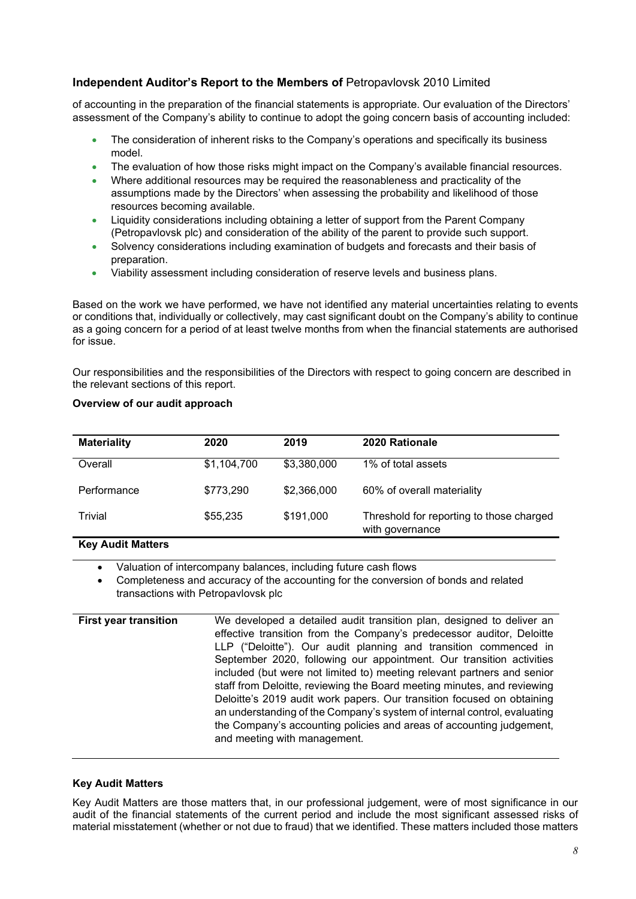of accounting in the preparation of the financial statements is appropriate. Our evaluation of the Directors' assessment of the Company's ability to continue to adopt the going concern basis of accounting included:

- The consideration of inherent risks to the Company's operations and specifically its business model.
- The evaluation of how those risks might impact on the Company's available financial resources.
- Where additional resources may be required the reasonableness and practicality of the assumptions made by the Directors' when assessing the probability and likelihood of those resources becoming available.
- Liquidity considerations including obtaining a letter of support from the Parent Company (Petropavlovsk plc) and consideration of the ability of the parent to provide such support.
- Solvency considerations including examination of budgets and forecasts and their basis of preparation.
- Viability assessment including consideration of reserve levels and business plans.

Based on the work we have performed, we have not identified any material uncertainties relating to events or conditions that, individually or collectively, may cast significant doubt on the Company's ability to continue as a going concern for a period of at least twelve months from when the financial statements are authorised for issue.

Our responsibilities and the responsibilities of the Directors with respect to going concern are described in the relevant sections of this report.

| <b>Materiality</b> | 2020        | 2019        | 2020 Rationale                                              |
|--------------------|-------------|-------------|-------------------------------------------------------------|
| Overall            | \$1,104,700 | \$3,380,000 | 1% of total assets                                          |
| Performance        | \$773,290   | \$2,366,000 | 60% of overall materiality                                  |
| Trivial            | \$55,235    | \$191,000   | Threshold for reporting to those charged<br>with governance |

## **Overview of our audit approach**

# **Key Audit Matters**

• Valuation of intercompany balances, including future cash flows

• Completeness and accuracy of the accounting for the conversion of bonds and related transactions with Petropavlovsk plc

**First year transition** We developed a detailed audit transition plan, designed to deliver an effective transition from the Company's predecessor auditor, Deloitte LLP ("Deloitte"). Our audit planning and transition commenced in September 2020, following our appointment. Our transition activities included (but were not limited to) meeting relevant partners and senior staff from Deloitte, reviewing the Board meeting minutes, and reviewing Deloitte's 2019 audit work papers. Our transition focused on obtaining an understanding of the Company's system of internal control, evaluating the Company's accounting policies and areas of accounting judgement, and meeting with management.

### **Key Audit Matters**

Key Audit Matters are those matters that, in our professional judgement, were of most significance in our audit of the financial statements of the current period and include the most significant assessed risks of material misstatement (whether or not due to fraud) that we identified. These matters included those matters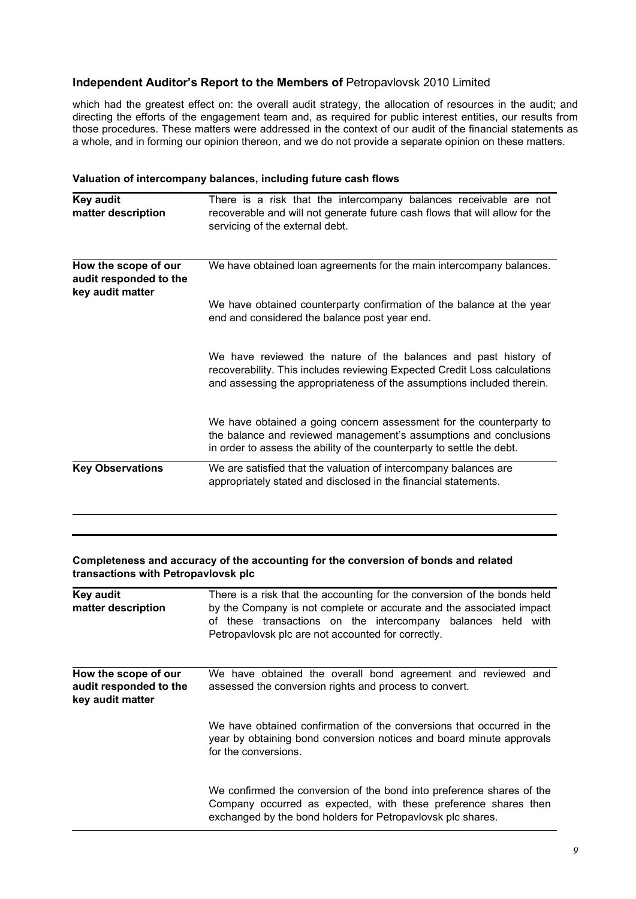which had the greatest effect on: the overall audit strategy, the allocation of resources in the audit; and directing the efforts of the engagement team and, as required for public interest entities, our results from those procedures. These matters were addressed in the context of our audit of the financial statements as a whole, and in forming our opinion thereon, and we do not provide a separate opinion on these matters.

| Valuation of intercompany balances, including future cash flows |  |
|-----------------------------------------------------------------|--|
|-----------------------------------------------------------------|--|

| <b>Key audit</b><br>matter description                             | There is a risk that the intercompany balances receivable are not<br>recoverable and will not generate future cash flows that will allow for the<br>servicing of the external debt.                                    |
|--------------------------------------------------------------------|------------------------------------------------------------------------------------------------------------------------------------------------------------------------------------------------------------------------|
| How the scope of our<br>audit responded to the<br>key audit matter | We have obtained loan agreements for the main intercompany balances.                                                                                                                                                   |
|                                                                    | We have obtained counterparty confirmation of the balance at the year<br>end and considered the balance post year end.                                                                                                 |
|                                                                    | We have reviewed the nature of the balances and past history of<br>recoverability. This includes reviewing Expected Credit Loss calculations<br>and assessing the appropriateness of the assumptions included therein. |
|                                                                    | We have obtained a going concern assessment for the counterparty to<br>the balance and reviewed management's assumptions and conclusions<br>in order to assess the ability of the counterparty to settle the debt.     |
| <b>Key Observations</b>                                            | We are satisfied that the valuation of intercompany balances are<br>appropriately stated and disclosed in the financial statements.                                                                                    |

#### **Completeness and accuracy of the accounting for the conversion of bonds and related transactions with Petropavlovsk plc**

| <b>Key audit</b><br>matter description                             | There is a risk that the accounting for the conversion of the bonds held<br>by the Company is not complete or accurate and the associated impact<br>of these transactions on the intercompany balances held with<br>Petropavlovsk plc are not accounted for correctly. |
|--------------------------------------------------------------------|------------------------------------------------------------------------------------------------------------------------------------------------------------------------------------------------------------------------------------------------------------------------|
| How the scope of our<br>audit responded to the<br>key audit matter | We have obtained the overall bond agreement and reviewed and<br>assessed the conversion rights and process to convert.                                                                                                                                                 |
|                                                                    | We have obtained confirmation of the conversions that occurred in the<br>year by obtaining bond conversion notices and board minute approvals<br>for the conversions.                                                                                                  |
|                                                                    | We confirmed the conversion of the bond into preference shares of the<br>Company occurred as expected, with these preference shares then<br>exchanged by the bond holders for Petropavlovsk plc shares.                                                                |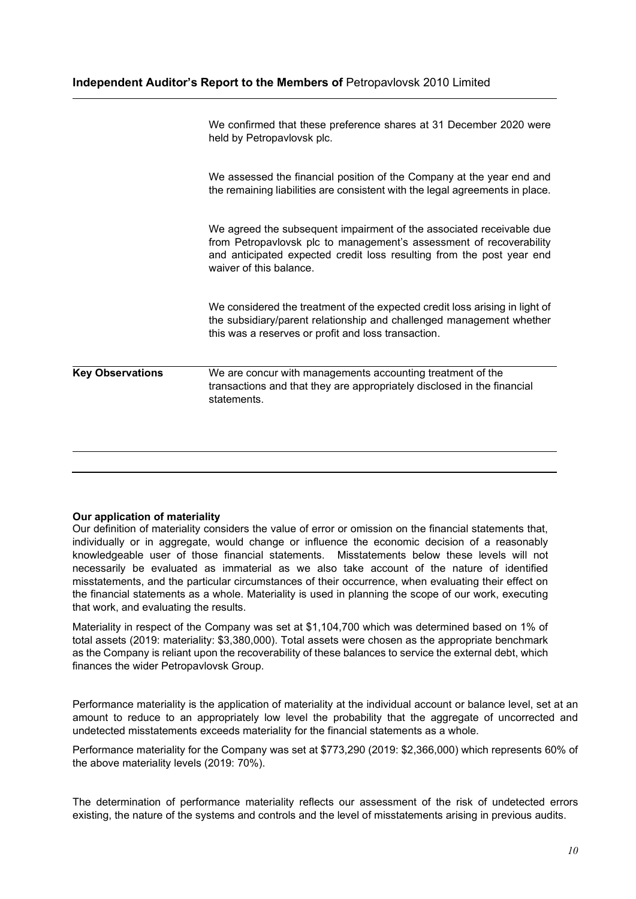|                         | We confirmed that these preference shares at 31 December 2020 were<br>held by Petropavlovsk plc.                                                                                                                                                |
|-------------------------|-------------------------------------------------------------------------------------------------------------------------------------------------------------------------------------------------------------------------------------------------|
|                         | We assessed the financial position of the Company at the year end and<br>the remaining liabilities are consistent with the legal agreements in place.                                                                                           |
|                         | We agreed the subsequent impairment of the associated receivable due<br>from Petropavlovsk plc to management's assessment of recoverability<br>and anticipated expected credit loss resulting from the post year end<br>waiver of this balance. |
|                         | We considered the treatment of the expected credit loss arising in light of<br>the subsidiary/parent relationship and challenged management whether<br>this was a reserves or profit and loss transaction.                                      |
| <b>Key Observations</b> | We are concur with managements accounting treatment of the<br>transactions and that they are appropriately disclosed in the financial<br>statements.                                                                                            |
|                         |                                                                                                                                                                                                                                                 |

### **Our application of materiality**

Our definition of materiality considers the value of error or omission on the financial statements that, individually or in aggregate, would change or influence the economic decision of a reasonably knowledgeable user of those financial statements. Misstatements below these levels will not necessarily be evaluated as immaterial as we also take account of the nature of identified misstatements, and the particular circumstances of their occurrence, when evaluating their effect on the financial statements as a whole. Materiality is used in planning the scope of our work, executing that work, and evaluating the results.

Materiality in respect of the Company was set at \$1,104,700 which was determined based on 1% of total assets (2019: materiality: \$3,380,000). Total assets were chosen as the appropriate benchmark as the Company is reliant upon the recoverability of these balances to service the external debt, which finances the wider Petropavlovsk Group.

Performance materiality is the application of materiality at the individual account or balance level, set at an amount to reduce to an appropriately low level the probability that the aggregate of uncorrected and undetected misstatements exceeds materiality for the financial statements as a whole.

Performance materiality for the Company was set at \$773,290 (2019: \$2,366,000) which represents 60% of the above materiality levels (2019: 70%).

The determination of performance materiality reflects our assessment of the risk of undetected errors existing, the nature of the systems and controls and the level of misstatements arising in previous audits.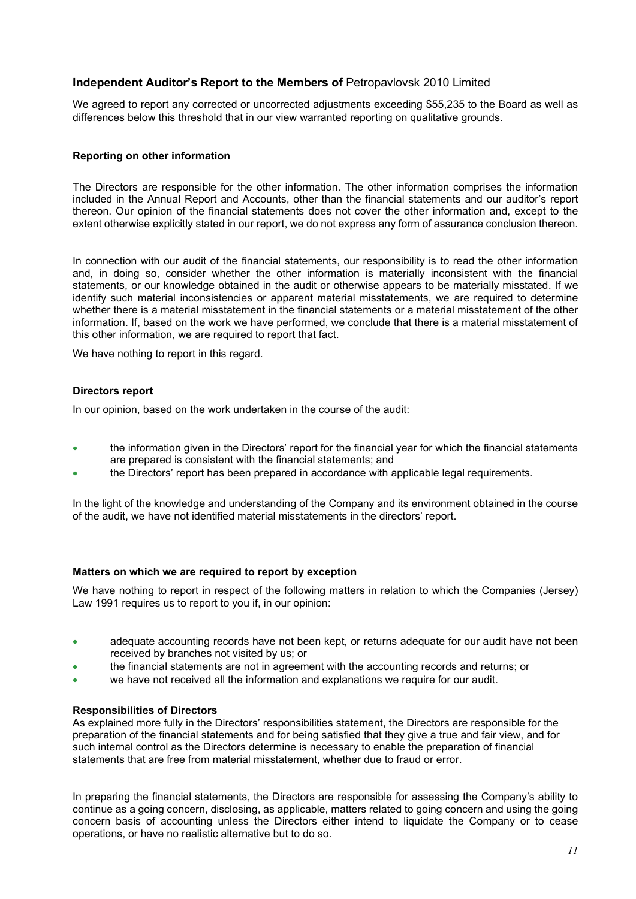We agreed to report any corrected or uncorrected adjustments exceeding \$55,235 to the Board as well as differences below this threshold that in our view warranted reporting on qualitative grounds.

#### **Reporting on other information**

The Directors are responsible for the other information. The other information comprises the information included in the Annual Report and Accounts, other than the financial statements and our auditor's report thereon. Our opinion of the financial statements does not cover the other information and, except to the extent otherwise explicitly stated in our report, we do not express any form of assurance conclusion thereon.

In connection with our audit of the financial statements, our responsibility is to read the other information and, in doing so, consider whether the other information is materially inconsistent with the financial statements, or our knowledge obtained in the audit or otherwise appears to be materially misstated. If we identify such material inconsistencies or apparent material misstatements, we are required to determine whether there is a material misstatement in the financial statements or a material misstatement of the other information. If, based on the work we have performed, we conclude that there is a material misstatement of this other information, we are required to report that fact.

We have nothing to report in this regard.

#### **Directors report**

In our opinion, based on the work undertaken in the course of the audit:

- the information given in the Directors' report for the financial year for which the financial statements are prepared is consistent with the financial statements; and
- the Directors' report has been prepared in accordance with applicable legal requirements.

In the light of the knowledge and understanding of the Company and its environment obtained in the course of the audit, we have not identified material misstatements in the directors' report.

#### **Matters on which we are required to report by exception**

We have nothing to report in respect of the following matters in relation to which the Companies (Jersey) Law 1991 requires us to report to you if, in our opinion:

- adequate accounting records have not been kept, or returns adequate for our audit have not been received by branches not visited by us; or
- the financial statements are not in agreement with the accounting records and returns; or
- we have not received all the information and explanations we require for our audit.

#### **Responsibilities of Directors**

As explained more fully in the Directors' responsibilities statement, the Directors are responsible for the preparation of the financial statements and for being satisfied that they give a true and fair view, and for such internal control as the Directors determine is necessary to enable the preparation of financial statements that are free from material misstatement, whether due to fraud or error.

In preparing the financial statements, the Directors are responsible for assessing the Company's ability to continue as a going concern, disclosing, as applicable, matters related to going concern and using the going concern basis of accounting unless the Directors either intend to liquidate the Company or to cease operations, or have no realistic alternative but to do so.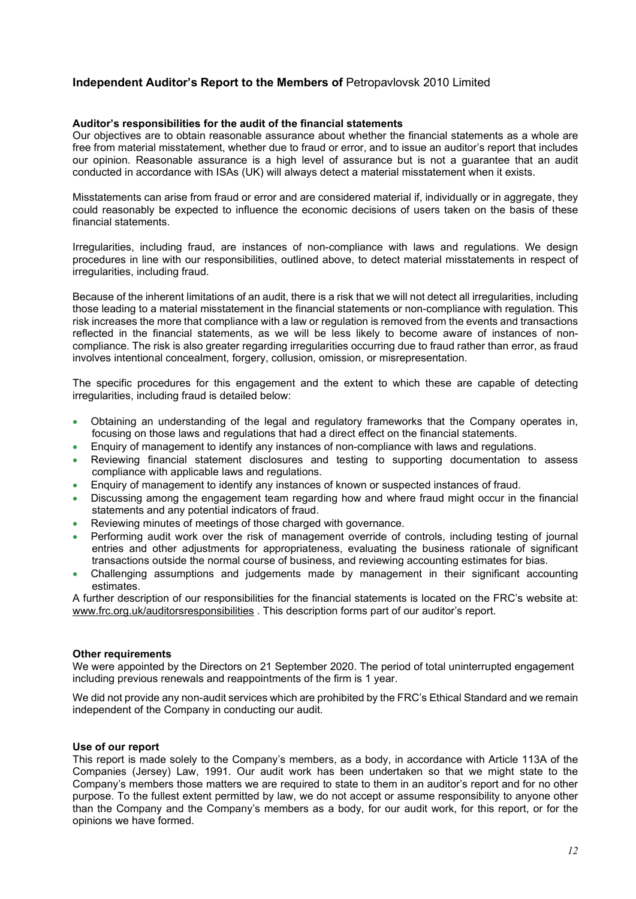#### **Auditor's responsibilities for the audit of the financial statements**

Our objectives are to obtain reasonable assurance about whether the financial statements as a whole are free from material misstatement, whether due to fraud or error, and to issue an auditor's report that includes our opinion. Reasonable assurance is a high level of assurance but is not a guarantee that an audit conducted in accordance with ISAs (UK) will always detect a material misstatement when it exists.

Misstatements can arise from fraud or error and are considered material if, individually or in aggregate, they could reasonably be expected to influence the economic decisions of users taken on the basis of these financial statements.

Irregularities, including fraud, are instances of non-compliance with laws and regulations. We design procedures in line with our responsibilities, outlined above, to detect material misstatements in respect of irregularities, including fraud.

Because of the inherent limitations of an audit, there is a risk that we will not detect all irregularities, including those leading to a material misstatement in the financial statements or non-compliance with regulation. This risk increases the more that compliance with a law or regulation is removed from the events and transactions reflected in the financial statements, as we will be less likely to become aware of instances of noncompliance. The risk is also greater regarding irregularities occurring due to fraud rather than error, as fraud involves intentional concealment, forgery, collusion, omission, or misrepresentation.

The specific procedures for this engagement and the extent to which these are capable of detecting irregularities, including fraud is detailed below:

- Obtaining an understanding of the legal and regulatory frameworks that the Company operates in, focusing on those laws and regulations that had a direct effect on the financial statements.
- Enquiry of management to identify any instances of non-compliance with laws and regulations.
- Reviewing financial statement disclosures and testing to supporting documentation to assess compliance with applicable laws and regulations.
- Enquiry of management to identify any instances of known or suspected instances of fraud.
- Discussing among the engagement team regarding how and where fraud might occur in the financial statements and any potential indicators of fraud.
- Reviewing minutes of meetings of those charged with governance.
- Performing audit work over the risk of management override of controls, including testing of journal entries and other adjustments for appropriateness, evaluating the business rationale of significant transactions outside the normal course of business, and reviewing accounting estimates for bias.
- Challenging assumptions and judgements made by management in their significant accounting estimates.

A further description of our responsibilities for the financial statements is located on the FRC's website at: www.frc.org.uk/auditorsresponsibilities . This description forms part of our auditor's report.

#### **Other requirements**

We were appointed by the Directors on 21 September 2020. The period of total uninterrupted engagement including previous renewals and reappointments of the firm is 1 year.

We did not provide any non-audit services which are prohibited by the FRC's Ethical Standard and we remain independent of the Company in conducting our audit.

#### **Use of our report**

This report is made solely to the Company's members, as a body, in accordance with Article 113A of the Companies (Jersey) Law, 1991. Our audit work has been undertaken so that we might state to the Company's members those matters we are required to state to them in an auditor's report and for no other purpose. To the fullest extent permitted by law, we do not accept or assume responsibility to anyone other than the Company and the Company's members as a body, for our audit work, for this report, or for the opinions we have formed.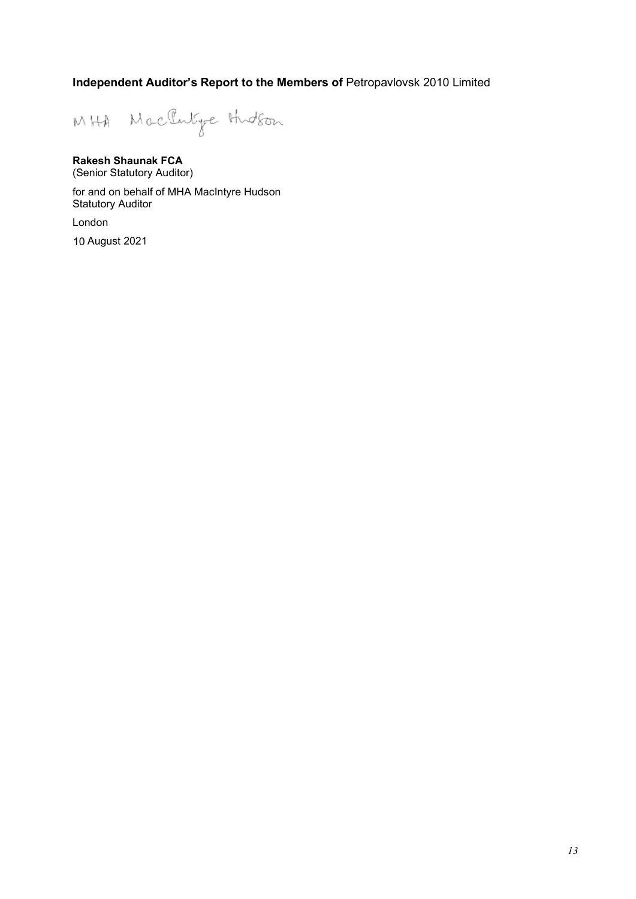MHA Machine Hudson

# **Rakesh Shaunak FCA**

(Senior Statutory Auditor)

for and on behalf of MHA MacIntyre Hudson Statutory Auditor

London

10 August 2021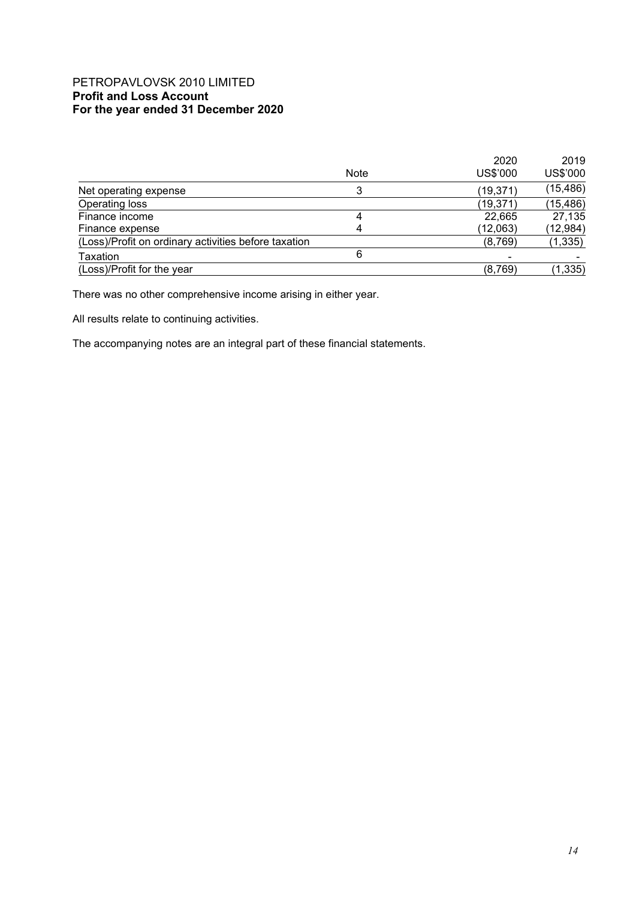# PETROPAVLOVSK 2010 LIMITED **Profit and Loss Account For the year ended 31 December 2020**

|                                                      |             | 2020           | 2019      |
|------------------------------------------------------|-------------|----------------|-----------|
|                                                      | <b>Note</b> | US\$'000       | US\$'000  |
| Net operating expense                                |             | (19, 371)      | (15, 486) |
| Operating loss                                       |             | (19, 371)      | (15, 486) |
| Finance income                                       | 4           | 22,665         | 27,135    |
| Finance expense                                      | 4           | (12,063)       | (12, 984) |
| (Loss)/Profit on ordinary activities before taxation |             | (8,769)        | (1, 335)  |
| Taxation                                             | 6           | $\blacksquare$ |           |
| (Loss)/Profit for the year                           |             | (8,769)        | (1, 335)  |

There was no other comprehensive income arising in either year.

All results relate to continuing activities.

The accompanying notes are an integral part of these financial statements.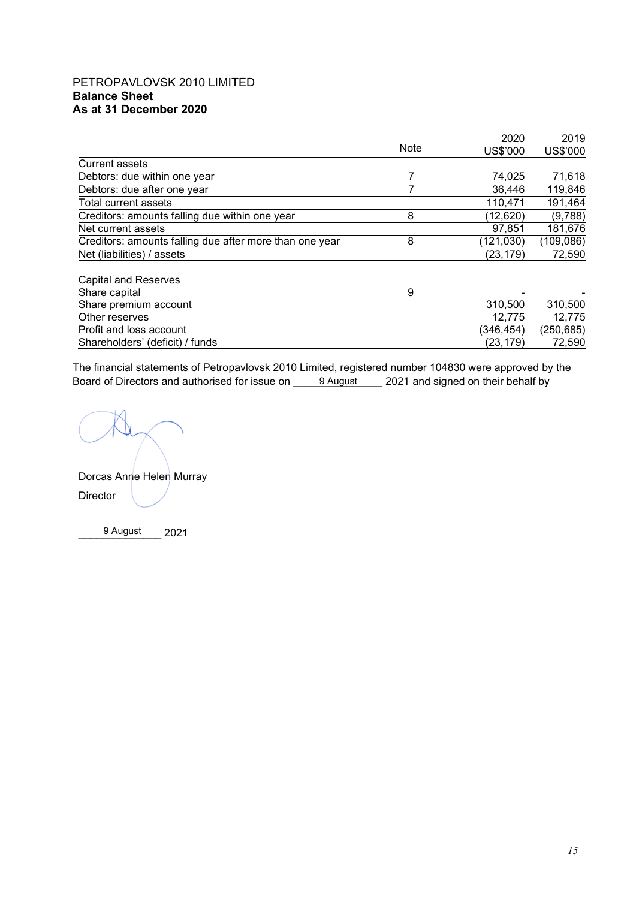# PETROPAVLOVSK 2010 LIMITED **Balance Sheet As at 31 December 2020**

|                                                         | Note | 2020       | 2019       |
|---------------------------------------------------------|------|------------|------------|
|                                                         |      | US\$'000   | US\$'000   |
| Current assets                                          |      |            |            |
| Debtors: due within one year                            |      | 74,025     | 71,618     |
| Debtors: due after one year                             |      | 36,446     | 119,846    |
| Total current assets                                    |      | 110,471    | 191,464    |
| Creditors: amounts falling due within one year          | 8    | (12,620)   | (9,788)    |
| Net current assets                                      |      | 97,851     | 181,676    |
| Creditors: amounts falling due after more than one year | 8    | (121, 030) | (109, 086) |
| Net (liabilities) / assets                              |      | (23, 179)  | 72,590     |
| <b>Capital and Reserves</b>                             |      |            |            |
| Share capital                                           | 9    |            |            |
| Share premium account                                   |      | 310,500    | 310,500    |
| Other reserves                                          |      | 12,775     | 12,775     |
| Profit and loss account                                 |      | (346, 454) | (250,685)  |
| Shareholders' (deficit) / funds                         |      | (23, 179)  | 72,590     |

The financial statements of Petropavlovsk 2010 Limited, registered number 104830 were approved by the Board of Directors and authorised for issue on \_\_\_\_\_<u>9 August\_\_\_\_</u> 2021 and signed on their behalf by

Dorcas Anne Helen Murray Director

\_\_\_\_\_\_\_\_\_\_\_\_\_\_ 2021 9 August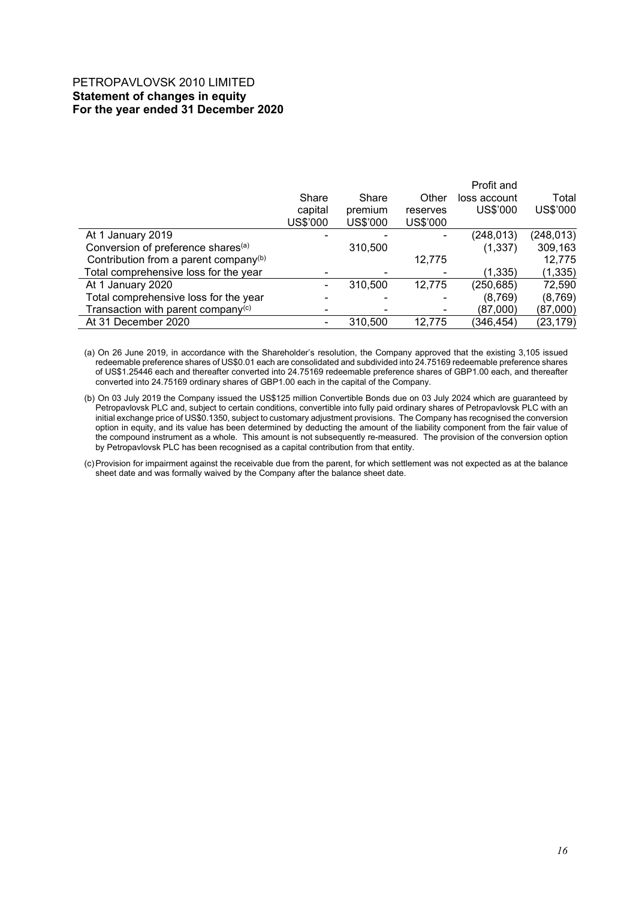# PETROPAVLOVSK 2010 LIMITED **Statement of changes in equity For the year ended 31 December 2020**

|          |          |          | Profit and   |            |
|----------|----------|----------|--------------|------------|
| Share    | Share    | Other    | loss account | Total      |
| capital  | premium  | reserves | US\$'000     | US\$'000   |
| US\$'000 | US\$'000 | US\$'000 |              |            |
|          |          |          | (248, 013)   | (248, 013) |
|          | 310,500  |          | (1, 337)     | 309,163    |
|          |          | 12,775   |              | 12,775     |
|          |          |          | (1, 335)     | (1, 335)   |
|          | 310.500  | 12,775   | (250, 685)   | 72,590     |
|          |          |          | (8,769)      | (8,769)    |
|          |          |          | (87,000)     | (87,000)   |
|          | 310,500  | 12.775   | (346, 454)   | (23, 179)  |
|          |          |          |              |            |

(a) On 26 June 2019, in accordance with the Shareholder's resolution, the Company approved that the existing 3,105 issued redeemable preference shares of US\$0.01 each are consolidated and subdivided into 24.75169 redeemable preference shares of US\$1.25446 each and thereafter converted into 24.75169 redeemable preference shares of GBP1.00 each, and thereafter converted into 24.75169 ordinary shares of GBP1.00 each in the capital of the Company.

(b) On 03 July 2019 the Company issued the US\$125 million Convertible Bonds due on 03 July 2024 which are guaranteed by Petropavlovsk PLC and, subject to certain conditions, convertible into fully paid ordinary shares of Petropavlovsk PLC with an initial exchange price of US\$0.1350, subject to customary adjustment provisions. The Company has recognised the conversion option in equity, and its value has been determined by deducting the amount of the liability component from the fair value of the compound instrument as a whole. This amount is not subsequently re-measured. The provision of the conversion option by Petropavlovsk PLC has been recognised as a capital contribution from that entity.

(c)Provision for impairment against the receivable due from the parent, for which settlement was not expected as at the balance sheet date and was formally waived by the Company after the balance sheet date.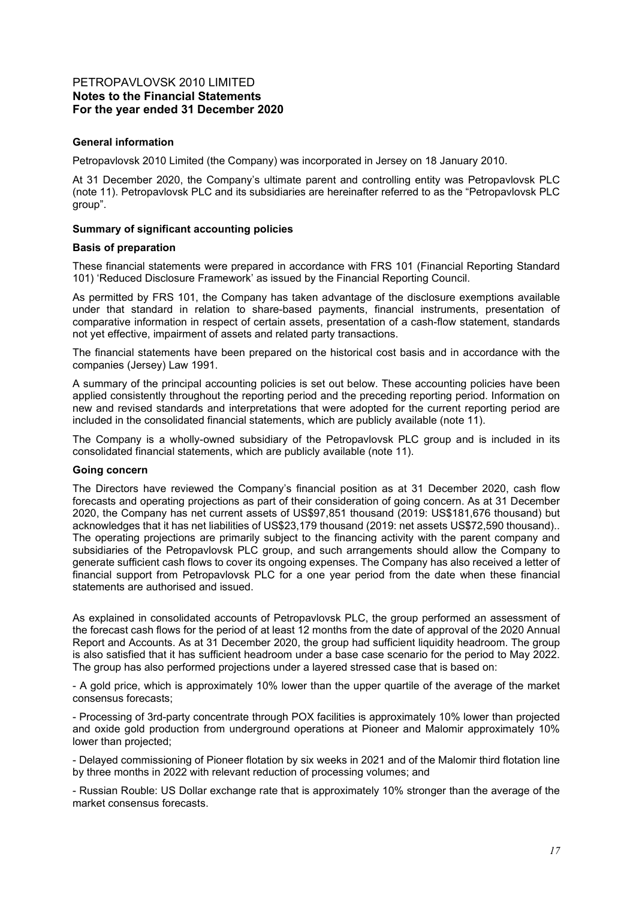### **General information**

Petropavlovsk 2010 Limited (the Company) was incorporated in Jersey on 18 January 2010.

At 31 December 2020, the Company's ultimate parent and controlling entity was Petropavlovsk PLC (note 11). Petropavlovsk PLC and its subsidiaries are hereinafter referred to as the "Petropavlovsk PLC group".

#### **Summary of significant accounting policies**

#### **Basis of preparation**

These financial statements were prepared in accordance with FRS 101 (Financial Reporting Standard 101) 'Reduced Disclosure Framework' as issued by the Financial Reporting Council.

As permitted by FRS 101, the Company has taken advantage of the disclosure exemptions available under that standard in relation to share-based payments, financial instruments, presentation of comparative information in respect of certain assets, presentation of a cash-flow statement, standards not yet effective, impairment of assets and related party transactions.

The financial statements have been prepared on the historical cost basis and in accordance with the companies (Jersey) Law 1991.

A summary of the principal accounting policies is set out below. These accounting policies have been applied consistently throughout the reporting period and the preceding reporting period. Information on new and revised standards and interpretations that were adopted for the current reporting period are included in the consolidated financial statements, which are publicly available (note 11).

The Company is a wholly-owned subsidiary of the Petropavlovsk PLC group and is included in its consolidated financial statements, which are publicly available (note 11).

#### **Going concern**

The Directors have reviewed the Company's financial position as at 31 December 2020, cash flow forecasts and operating projections as part of their consideration of going concern. As at 31 December 2020, the Company has net current assets of US\$97,851 thousand (2019: US\$181,676 thousand) but acknowledges that it has net liabilities of US\$23,179 thousand (2019: net assets US\$72,590 thousand).. The operating projections are primarily subject to the financing activity with the parent company and subsidiaries of the Petropavlovsk PLC group, and such arrangements should allow the Company to generate sufficient cash flows to cover its ongoing expenses. The Company has also received a letter of financial support from Petropavlovsk PLC for a one year period from the date when these financial statements are authorised and issued.

As explained in consolidated accounts of Petropavlovsk PLC, the group performed an assessment of the forecast cash flows for the period of at least 12 months from the date of approval of the 2020 Annual Report and Accounts. As at 31 December 2020, the group had sufficient liquidity headroom. The group is also satisfied that it has sufficient headroom under a base case scenario for the period to May 2022. The group has also performed projections under a layered stressed case that is based on:

- A gold price, which is approximately 10% lower than the upper quartile of the average of the market consensus forecasts;

- Processing of 3rd-party concentrate through POX facilities is approximately 10% lower than projected and oxide gold production from underground operations at Pioneer and Malomir approximately 10% lower than projected;

- Delayed commissioning of Pioneer flotation by six weeks in 2021 and of the Malomir third flotation line by three months in 2022 with relevant reduction of processing volumes; and

- Russian Rouble: US Dollar exchange rate that is approximately 10% stronger than the average of the market consensus forecasts.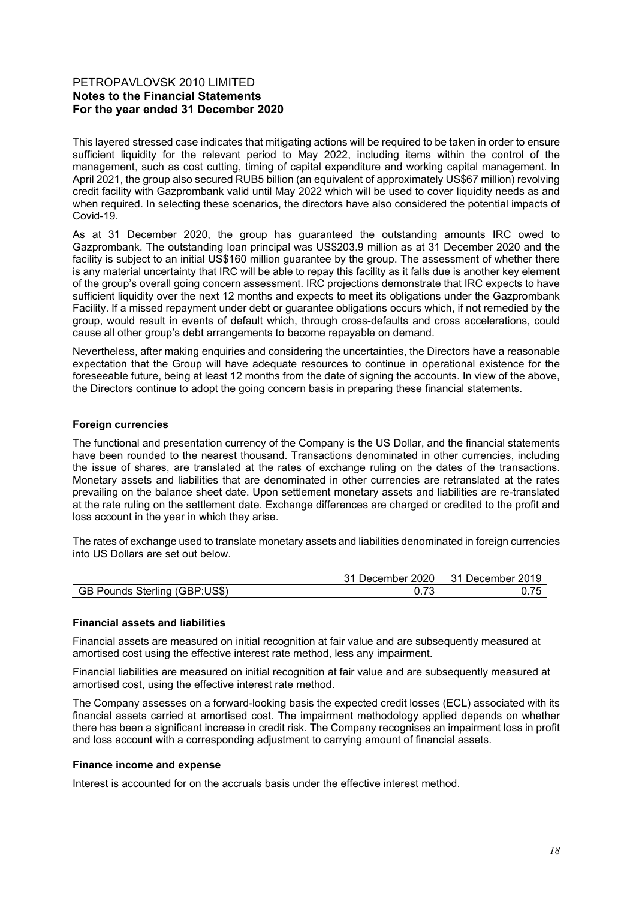This layered stressed case indicates that mitigating actions will be required to be taken in order to ensure sufficient liquidity for the relevant period to May 2022, including items within the control of the management, such as cost cutting, timing of capital expenditure and working capital management. In April 2021, the group also secured RUB5 billion (an equivalent of approximately US\$67 million) revolving credit facility with Gazprombank valid until May 2022 which will be used to cover liquidity needs as and when required. In selecting these scenarios, the directors have also considered the potential impacts of Covid-19.

As at 31 December 2020, the group has guaranteed the outstanding amounts IRC owed to Gazprombank. The outstanding loan principal was US\$203.9 million as at 31 December 2020 and the facility is subject to an initial US\$160 million guarantee by the group. The assessment of whether there is any material uncertainty that IRC will be able to repay this facility as it falls due is another key element of the group's overall going concern assessment. IRC projections demonstrate that IRC expects to have sufficient liquidity over the next 12 months and expects to meet its obligations under the Gazprombank Facility. If a missed repayment under debt or guarantee obligations occurs which, if not remedied by the group, would result in events of default which, through cross-defaults and cross accelerations, could cause all other group's debt arrangements to become repayable on demand.

Nevertheless, after making enquiries and considering the uncertainties, the Directors have a reasonable expectation that the Group will have adequate resources to continue in operational existence for the foreseeable future, being at least 12 months from the date of signing the accounts. In view of the above, the Directors continue to adopt the going concern basis in preparing these financial statements.

### **Foreign currencies**

The functional and presentation currency of the Company is the US Dollar, and the financial statements have been rounded to the nearest thousand. Transactions denominated in other currencies, including the issue of shares, are translated at the rates of exchange ruling on the dates of the transactions. Monetary assets and liabilities that are denominated in other currencies are retranslated at the rates prevailing on the balance sheet date. Upon settlement monetary assets and liabilities are re-translated at the rate ruling on the settlement date. Exchange differences are charged or credited to the profit and loss account in the year in which they arise.

The rates of exchange used to translate monetary assets and liabilities denominated in foreign currencies into US Dollars are set out below.

|                               | 31 December 2020 31 December 2019 |
|-------------------------------|-----------------------------------|
| GB Pounds Sterling (GBP:US\$) | 0.75                              |

#### **Financial assets and liabilities**

Financial assets are measured on initial recognition at fair value and are subsequently measured at amortised cost using the effective interest rate method, less any impairment.

Financial liabilities are measured on initial recognition at fair value and are subsequently measured at amortised cost, using the effective interest rate method.

The Company assesses on a forward-looking basis the expected credit losses (ECL) associated with its financial assets carried at amortised cost. The impairment methodology applied depends on whether there has been a significant increase in credit risk. The Company recognises an impairment loss in profit and loss account with a corresponding adjustment to carrying amount of financial assets.

#### **Finance income and expense**

Interest is accounted for on the accruals basis under the effective interest method.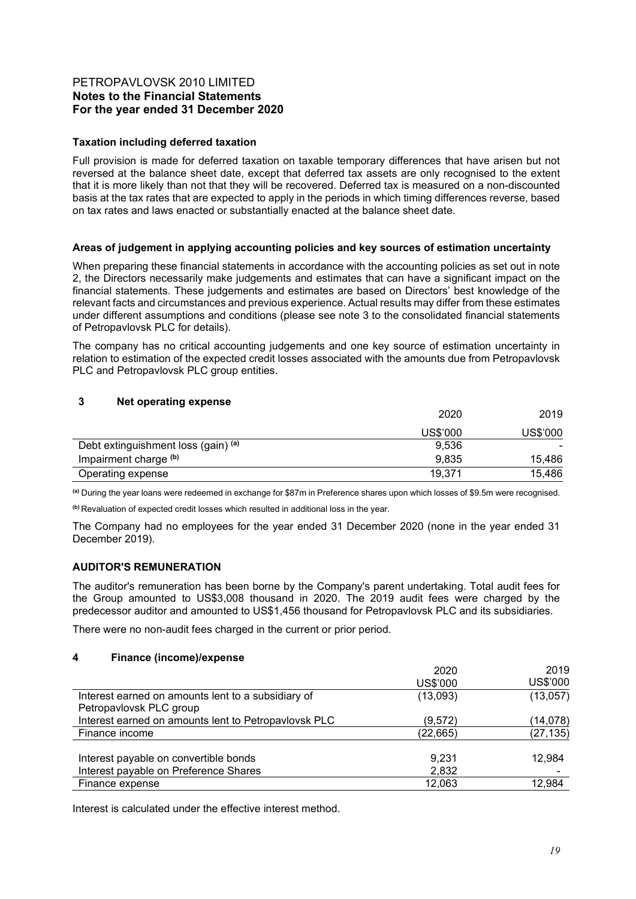### **Taxation including deferred taxation**

Full provision is made for deferred taxation on taxable temporary differences that have arisen but not reversed at the balance sheet date, except that deferred tax assets are only recognised to the extent that it is more likely than not that they will be recovered. Deferred tax is measured on a non-discounted basis at the tax rates that are expected to apply in the periods in which timing differences reverse, based on tax rates and laws enacted or substantially enacted at the balance sheet date.

### **Areas of judgement in applying accounting policies and key sources of estimation uncertainty**

When preparing these financial statements in accordance with the accounting policies as set out in note 2, the Directors necessarily make judgements and estimates that can have a significant impact on the financial statements. These judgements and estimates are based on Directors' best knowledge of the relevant facts and circumstances and previous experience. Actual results may differ from these estimates under different assumptions and conditions (please see note 3 to the consolidated financial statements of Petropavlovsk PLC for details).

The company has no critical accounting judgements and one key source of estimation uncertainty in relation to estimation of the expected credit losses associated with the amounts due from Petropavlovsk PLC and Petropavlovsk PLC group entities.

### **3 Net operating expense**

|                                     | 2020     | 2019     |
|-------------------------------------|----------|----------|
|                                     | US\$'000 | US\$'000 |
| Debt extinguishment loss (gain) (a) | 9,536    |          |
| Impairment charge (b)               | 9,835    | 15,486   |
| Operating expense                   | 19,371   | 15,486   |

**(a)** During the year loans were redeemed in exchange for \$87m in Preference shares upon which losses of \$9.5m were recognised.

**(b)** Revaluation of expected credit losses which resulted in additional loss in the year.

The Company had no employees for the year ended 31 December 2020 (none in the year ended 31 December 2019).

## **AUDITOR'S REMUNERATION**

The auditor's remuneration has been borne by the Company's parent undertaking. Total audit fees for the Group amounted to US\$3,008 thousand in 2020. The 2019 audit fees were charged by the predecessor auditor and amounted to US\$1,456 thousand for Petropavlovsk PLC and its subsidiaries.

There were no non-audit fees charged in the current or prior period.

#### **4 Finance (income)/expense**

| 2020      | 2019           |
|-----------|----------------|
| US\$'000  | US\$'000       |
| (13,093)  | (13,057)       |
|           |                |
| (9,572)   | (14,078)       |
| (22, 665) | (27, 135)      |
|           |                |
|           | 12,984         |
|           |                |
| 12,063    | 12,984         |
|           | 9.231<br>2,832 |

Interest is calculated under the effective interest method.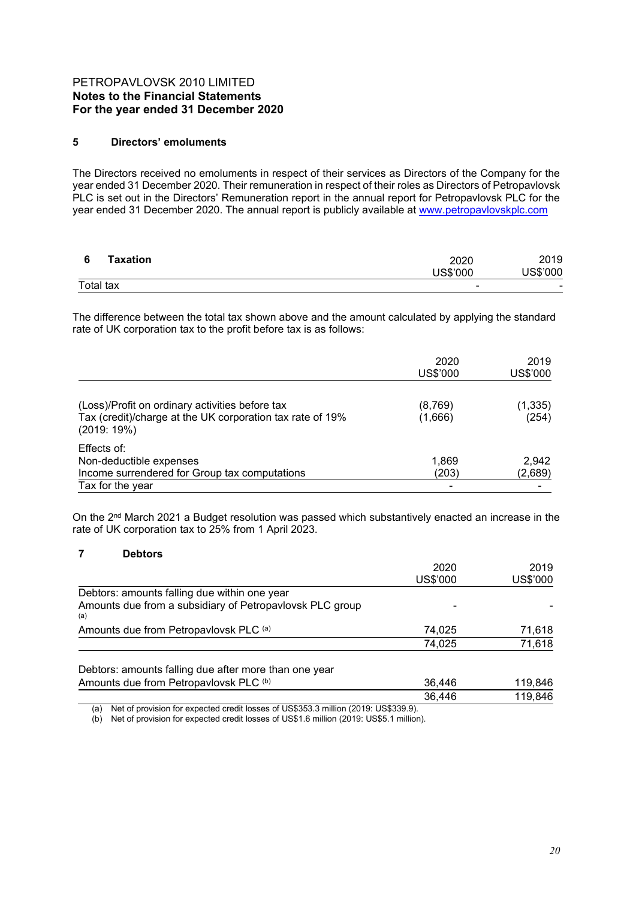### **5 Directors' emoluments**

The Directors received no emoluments in respect of their services as Directors of the Company for the year ended 31 December 2020. Their remuneration in respect of their roles as Directors of Petropavlovsk PLC is set out in the Directors' Remuneration report in the annual report for Petropavlovsk PLC for the year ended 31 December 2020. The annual report is publicly available at www.petropavlovskplc.com

| Taxation  | 2020<br>US\$'000         | 2019<br>US\$'000         |  |
|-----------|--------------------------|--------------------------|--|
| Total tax | $\overline{\phantom{0}}$ | $\overline{\phantom{0}}$ |  |

The difference between the total tax shown above and the amount calculated by applying the standard rate of UK corporation tax to the profit before tax is as follows:

|                                                                                                                            | 2020<br>US\$'000    | 2019<br>US\$'000  |
|----------------------------------------------------------------------------------------------------------------------------|---------------------|-------------------|
| (Loss)/Profit on ordinary activities before tax<br>Tax (credit)/charge at the UK corporation tax rate of 19%<br>(2019:19%) | (8, 769)<br>(1,666) | (1, 335)<br>(254) |
| Effects of:<br>Non-deductible expenses<br>Income surrendered for Group tax computations<br>Tax for the year                | 1,869<br>(203)      | 2,942<br>(2,689)  |

On the 2<sup>nd</sup> March 2021 a Budget resolution was passed which substantively enacted an increase in the rate of UK corporation tax to 25% from 1 April 2023.

#### **7 Debtors**

|                                                                                            | 2020     | 2019     |
|--------------------------------------------------------------------------------------------|----------|----------|
|                                                                                            | US\$'000 | US\$'000 |
| Debtors: amounts falling due within one year                                               |          |          |
| Amounts due from a subsidiary of Petropavlovsk PLC group<br>(a)                            |          |          |
| Amounts due from Petropavlovsk PLC (a)                                                     | 74,025   | 71,618   |
|                                                                                            | 74,025   | 71,618   |
| Debtors: amounts falling due after more than one year                                      |          |          |
| Amounts due from Petropavlovsk PLC (b)                                                     | 36,446   | 119,846  |
|                                                                                            | 36,446   | 119,846  |
| Net of provision for expected credit losses of US\$353.3 million (2019: US\$339.9).<br>(a) |          |          |

(b) Net of provision for expected credit losses of US\$1.6 million (2019: US\$5.1 million).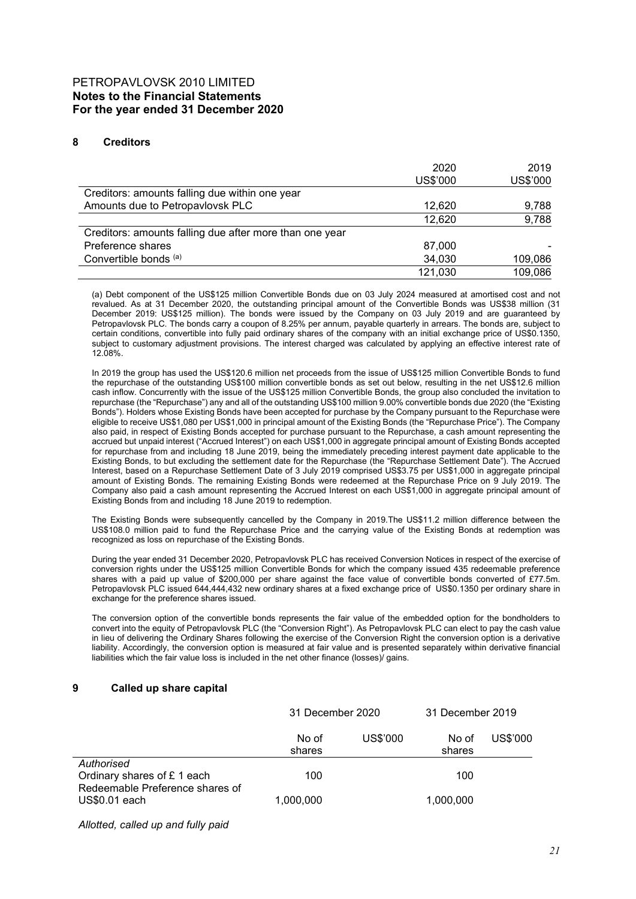### **8 Creditors**

|                                                         | 2020<br>US\$'000 | 2019<br>US\$'000 |
|---------------------------------------------------------|------------------|------------------|
| Creditors: amounts falling due within one year          |                  |                  |
| Amounts due to Petropavlovsk PLC                        | 12,620           | 9,788            |
|                                                         | 12,620           | 9,788            |
| Creditors: amounts falling due after more than one year |                  |                  |
| Preference shares                                       | 87,000           |                  |
| Convertible bonds (a)                                   | 34,030           | 109,086          |
|                                                         | 121,030          | 109,086          |

(a) Debt component of the US\$125 million Convertible Bonds due on 03 July 2024 measured at amortised cost and not revalued. As at 31 December 2020, the outstanding principal amount of the Convertible Bonds was US\$38 million (31 December 2019: US\$125 million). The bonds were issued by the Company on 03 July 2019 and are guaranteed by Petropavlovsk PLC. The bonds carry a coupon of 8.25% per annum, payable quarterly in arrears. The bonds are, subject to certain conditions, convertible into fully paid ordinary shares of the company with an initial exchange price of US\$0.1350, subject to customary adjustment provisions. The interest charged was calculated by applying an effective interest rate of 12.08%.

In 2019 the group has used the US\$120.6 million net proceeds from the issue of US\$125 million Convertible Bonds to fund the repurchase of the outstanding US\$100 million convertible bonds as set out below, resulting in the net US\$12.6 million cash inflow. Concurrently with the issue of the US\$125 million Convertible Bonds, the group also concluded the invitation to repurchase (the "Repurchase") any and all of the outstanding US\$100 million 9.00% convertible bonds due 2020 (the "Existing Bonds"). Holders whose Existing Bonds have been accepted for purchase by the Company pursuant to the Repurchase were eligible to receive US\$1,080 per US\$1,000 in principal amount of the Existing Bonds (the "Repurchase Price"). The Company also paid, in respect of Existing Bonds accepted for purchase pursuant to the Repurchase, a cash amount representing the accrued but unpaid interest ("Accrued Interest") on each US\$1,000 in aggregate principal amount of Existing Bonds accepted for repurchase from and including 18 June 2019, being the immediately preceding interest payment date applicable to the Existing Bonds, to but excluding the settlement date for the Repurchase (the "Repurchase Settlement Date"). The Accrued Interest, based on a Repurchase Settlement Date of 3 July 2019 comprised US\$3.75 per US\$1,000 in aggregate principal amount of Existing Bonds. The remaining Existing Bonds were redeemed at the Repurchase Price on 9 July 2019. The Company also paid a cash amount representing the Accrued Interest on each US\$1,000 in aggregate principal amount of Existing Bonds from and including 18 June 2019 to redemption.

The Existing Bonds were subsequently cancelled by the Company in 2019.The US\$11.2 million difference between the US\$108.0 million paid to fund the Repurchase Price and the carrying value of the Existing Bonds at redemption was recognized as loss on repurchase of the Existing Bonds.

During the year ended 31 December 2020, Petropavlovsk PLC has received Conversion Notices in respect of the exercise of conversion rights under the US\$125 million Convertible Bonds for which the company issued 435 redeemable preference shares with a paid up value of \$200,000 per share against the face value of convertible bonds converted of £77.5m. Petropavlovsk PLC issued 644,444,432 new ordinary shares at a fixed exchange price of US\$0.1350 per ordinary share in exchange for the preference shares issued.

The conversion option of the convertible bonds represents the fair value of the embedded option for the bondholders to convert into the equity of Petropavlovsk PLC (the "Conversion Right"). As Petropavlovsk PLC can elect to pay the cash value in lieu of delivering the Ordinary Shares following the exercise of the Conversion Right the conversion option is a derivative liability. Accordingly, the conversion option is measured at fair value and is presented separately within derivative financial liabilities which the fair value loss is included in the net other finance (losses)/ gains.

#### **9 Called up share capital**

|                                                                             | 31 December 2020 |          | 31 December 2019 |          |
|-----------------------------------------------------------------------------|------------------|----------|------------------|----------|
|                                                                             | No of<br>shares  | US\$'000 | No of<br>shares  | US\$'000 |
| Authorised<br>Ordinary shares of £1 each<br>Redeemable Preference shares of | 100              |          | 100              |          |
| US\$0.01 each                                                               | 1,000,000        |          | 1,000,000        |          |

*Allotted, called up and fully paid*